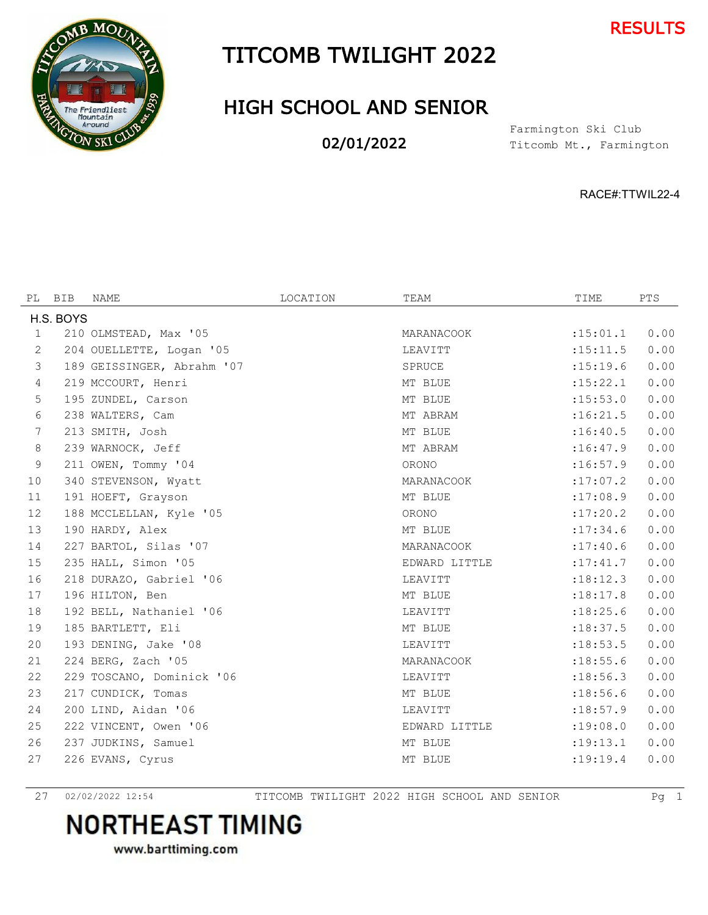



#### TITCOMB TWILIGHT 2022

#### HIGH SCHOOL AND SENIOR

02/01/2022

Titcomb Mt., Farmington Farmington Ski Club

RACE#:TTWIL22-4

|           | PL BIB | NAME                       | LOCATION | TEAM          | TIME       | PTS  |
|-----------|--------|----------------------------|----------|---------------|------------|------|
| H.S. BOYS |        |                            |          |               |            |      |
| 1         |        | 210 OLMSTEAD, Max '05      |          | MARANACOOK    | :15:01.1   | 0.00 |
| 2         |        | 204 OUELLETTE, Logan '05   |          | LEAVITT       | : 15: 11.5 | 0.00 |
| 3         |        | 189 GEISSINGER, Abrahm '07 |          | SPRUCE        | : 15: 19.6 | 0.00 |
| 4         |        | 219 MCCOURT, Henri         |          | MT BLUE       | :15:22.1   | 0.00 |
| 5         |        | 195 ZUNDEL, Carson         |          | MT BLUE       | : 15: 53.0 | 0.00 |
| 6         |        | 238 WALTERS, Cam           |          | MT ABRAM      | :16:21.5   | 0.00 |
| 7         |        | 213 SMITH, Josh            |          | MT BLUE       | :16:40.5   | 0.00 |
| 8         |        | 239 WARNOCK, Jeff          |          | MT ABRAM      | :16:47.9   | 0.00 |
| 9         |        | 211 OWEN, Tommy '04        |          | ORONO         | :16:57.9   | 0.00 |
| 10        |        | 340 STEVENSON, Wyatt       |          | MARANACOOK    | :17:07.2   | 0.00 |
| 11        |        | 191 HOEFT, Grayson         |          | MT BLUE       | :17:08.9   | 0.00 |
| 12        |        | 188 MCCLELLAN, Kyle '05    |          | ORONO         | :17:20.2   | 0.00 |
| 13        |        | 190 HARDY, Alex            |          | MT BLUE       | : 17:34.6  | 0.00 |
| 14        |        | 227 BARTOL, Silas '07      |          | MARANACOOK    | :17:40.6   | 0.00 |
| 15        |        | 235 HALL, Simon '05        |          | EDWARD LITTLE | : 17: 41.7 | 0.00 |
| 16        |        | 218 DURAZO, Gabriel '06    |          | LEAVITT       | :18:12.3   | 0.00 |
| 17        |        | 196 HILTON, Ben            |          | MT BLUE       | :18:17.8   | 0.00 |
| 18        |        | 192 BELL, Nathaniel '06    |          | LEAVITT       | : 18: 25.6 | 0.00 |
| 19        |        | 185 BARTLETT, Eli          |          | MT BLUE       | :18:37.5   | 0.00 |
| 20        |        | 193 DENING, Jake '08       |          | LEAVITT       | : 18: 53.5 | 0.00 |
| 21        |        | 224 BERG, Zach '05         |          | MARANACOOK    | : 18:55.6  | 0.00 |
| 22        |        | 229 TOSCANO, Dominick '06  |          | LEAVITT       | :18:56.3   | 0.00 |
| 23        |        | 217 CUNDICK, Tomas         |          | MT BLUE       | :18:56.6   | 0.00 |
| 24        |        | 200 LIND, Aidan '06        |          | LEAVITT       | :18:57.9   | 0.00 |
| 25        |        | 222 VINCENT, Owen '06      |          | EDWARD LITTLE | :19:08.0   | 0.00 |
| 26        |        | 237 JUDKINS, Samuel        |          | MT BLUE       | :19:13.1   | 0.00 |
| 27        |        | 226 EVANS, Cyrus           |          | MT BLUE       | : 19:19.4  | 0.00 |
|           |        |                            |          |               |            |      |

02/02/2022 12:54 TITCOMB TWILIGHT 2022 HIGH SCHOOL AND SENIOR Pg 1

### **NORTHEAST TIMING**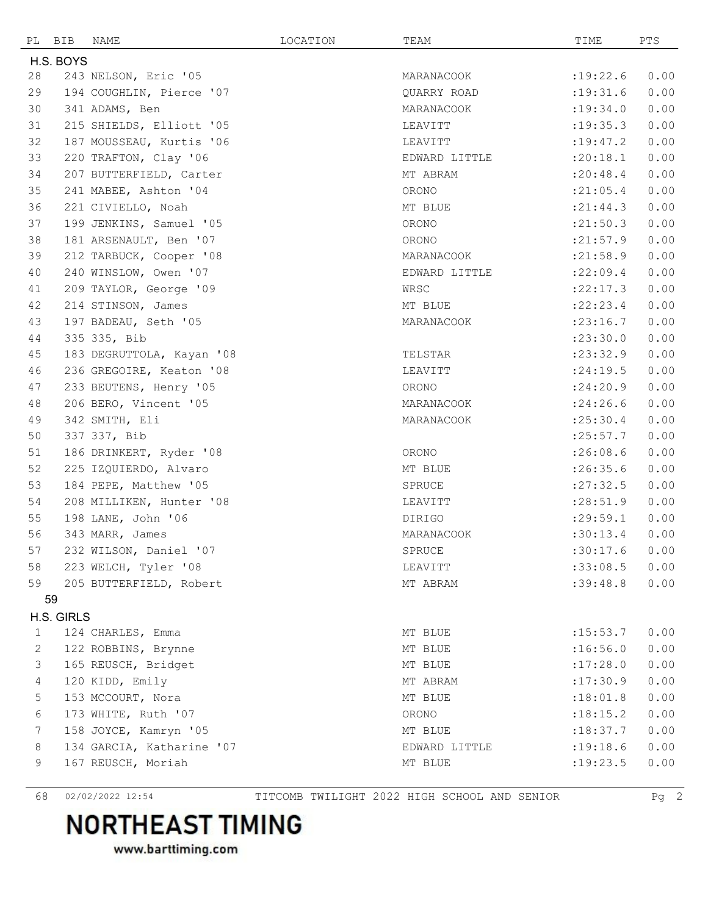| PL           | BIB        | NAME                      | LOCATION | TEAM          | TIME       | PTS  |
|--------------|------------|---------------------------|----------|---------------|------------|------|
|              | H.S. BOYS  |                           |          |               |            |      |
| 28           |            | 243 NELSON, Eric '05      |          | MARANACOOK    | :19:22.6   | 0.00 |
| 29           |            | 194 COUGHLIN, Pierce '07  |          | QUARRY ROAD   | : 19: 31.6 | 0.00 |
| 30           |            | 341 ADAMS, Ben            |          | MARANACOOK    | : 19:34.0  | 0.00 |
| 31           |            | 215 SHIELDS, Elliott '05  |          | LEAVITT       | : 19: 35.3 | 0.00 |
| 32           |            | 187 MOUSSEAU, Kurtis '06  |          | LEAVITT       | :19:47.2   | 0.00 |
| 33           |            | 220 TRAFTON, Clay '06     |          | EDWARD LITTLE | :20:18.1   | 0.00 |
| 34           |            | 207 BUTTERFIELD, Carter   |          | MT ABRAM      | : 20: 48.4 | 0.00 |
| 35           |            | 241 MABEE, Ashton '04     |          | ORONO         | : 21:05.4  | 0.00 |
| 36           |            | 221 CIVIELLO, Noah        |          | MT BLUE       | : 21: 44.3 | 0.00 |
| 37           |            | 199 JENKINS, Samuel '05   |          | ORONO         | : 21:50.3  | 0.00 |
| 38           |            | 181 ARSENAULT, Ben '07    |          | ORONO         | : 21: 57.9 | 0.00 |
| 39           |            | 212 TARBUCK, Cooper '08   |          | MARANACOOK    | : 21:58.9  | 0.00 |
| 40           |            | 240 WINSLOW, Owen '07     |          | EDWARD LITTLE | :22:09.4   | 0.00 |
| 41           |            | 209 TAYLOR, George '09    |          | WRSC          | :22:17.3   | 0.00 |
| 42           |            | 214 STINSON, James        |          | MT BLUE       | : 22: 23.4 | 0.00 |
| 43           |            | 197 BADEAU, Seth '05      |          | MARANACOOK    | : 23:16.7  | 0.00 |
| 44           |            | 335 335, Bib              |          |               | : 23:30.0  | 0.00 |
| 45           |            | 183 DEGRUTTOLA, Kayan '08 |          | TELSTAR       | : 23:32.9  | 0.00 |
| 46           |            | 236 GREGOIRE, Keaton '08  |          | LEAVITT       | : 24:19.5  | 0.00 |
| 47           |            | 233 BEUTENS, Henry '05    |          | ORONO         | : 24:20.9  | 0.00 |
| 48           |            | 206 BERO, Vincent '05     |          | MARANACOOK    | : 24:26.6  | 0.00 |
| 49           |            | 342 SMITH, Eli            |          | MARANACOOK    | : 25:30.4  | 0.00 |
| 50           |            | 337 337, Bib              |          |               | : 25:57.7  | 0.00 |
| 51           |            | 186 DRINKERT, Ryder '08   |          | ORONO         | :26:08.6   | 0.00 |
| 52           |            | 225 IZQUIERDO, Alvaro     |          | MT BLUE       | : 26:35.6  | 0.00 |
| 53           |            | 184 PEPE, Matthew '05     |          | SPRUCE        | : 27: 32.5 | 0.00 |
| 54           |            | 208 MILLIKEN, Hunter '08  |          | LEAVITT       | : 28:51.9  | 0.00 |
| 55           |            | 198 LANE, John '06        |          | DIRIGO        | : 29:59.1  | 0.00 |
| 56           |            | 343 MARR, James           |          | MARANACOOK    | :30:13.4   | 0.00 |
| 57           |            | 232 WILSON, Daniel '07    |          | SPRUCE        | :30:17.6   | 0.00 |
| 58           |            | 223 WELCH, Tyler '08      |          | LEAVITT       | :33:08.5   | 0.00 |
| 59           |            | 205 BUTTERFIELD, Robert   |          | MT ABRAM      | :39:48.8   | 0.00 |
|              | 59         |                           |          |               |            |      |
|              | H.S. GIRLS |                           |          |               |            |      |
| $\mathbf{1}$ |            | 124 CHARLES, Emma         |          | MT BLUE       | : 15: 53.7 | 0.00 |
| 2            |            | 122 ROBBINS, Brynne       |          | MT BLUE       | :16:56.0   | 0.00 |
| 3            |            | 165 REUSCH, Bridget       |          | MT BLUE       | :17:28.0   | 0.00 |
| 4            |            | 120 KIDD, Emily           |          | MT ABRAM      | :17:30.9   | 0.00 |
| 5            |            | 153 MCCOURT, Nora         |          | MT BLUE       | :18:01.8   | 0.00 |
| 6            |            | 173 WHITE, Ruth '07       |          | ORONO         | :18:15.2   | 0.00 |
| 7            |            | 158 JOYCE, Kamryn '05     |          | MT BLUE       | :18:37.7   | 0.00 |
| 8            |            | 134 GARCIA, Katharine '07 |          | EDWARD LITTLE | :19:18.6   | 0.00 |
| 9            |            | 167 REUSCH, Moriah        |          | MT BLUE       | :19:23.5   | 0.00 |
|              |            |                           |          |               |            |      |

02/02/2022 12:54 TITCOMB TWILIGHT 2022 HIGH SCHOOL AND SENIOR Pg 2

# **NORTHEAST TIMING**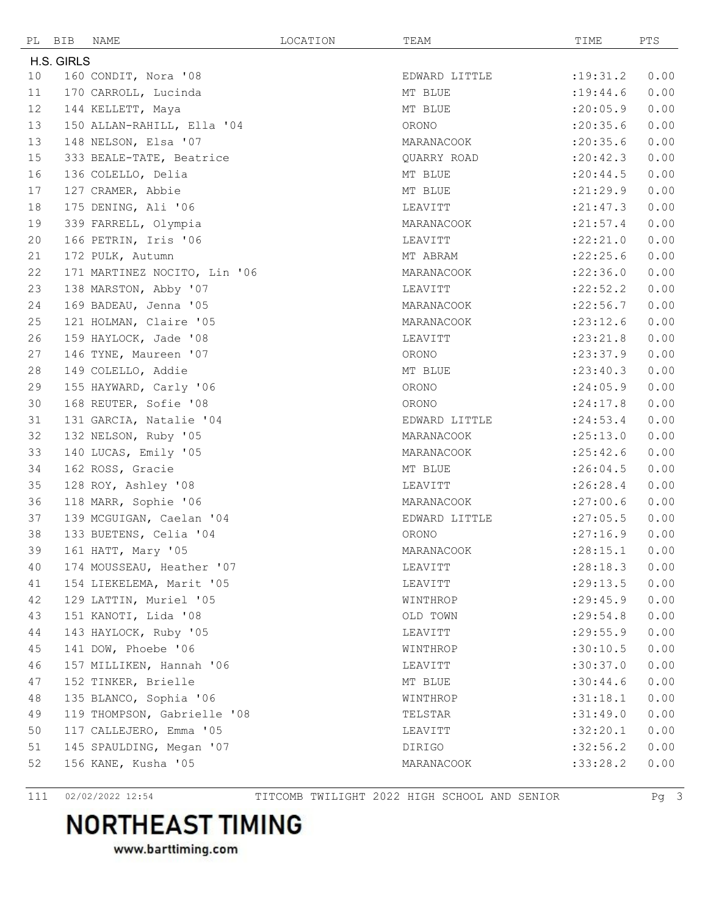| PL                | BIB        | NAME                         | LOCATION | TEAM          | TIME       | PTS  |
|-------------------|------------|------------------------------|----------|---------------|------------|------|
|                   | H.S. GIRLS |                              |          |               |            |      |
| 10                |            | 160 CONDIT, Nora '08         |          | EDWARD LITTLE | : 19: 31.2 | 0.00 |
| 11                |            | 170 CARROLL, Lucinda         |          | MT BLUE       | : 19: 44.6 | 0.00 |
| $12 \overline{ }$ |            | 144 KELLETT, Maya            |          | MT BLUE       | : 20:05.9  | 0.00 |
| 13                |            | 150 ALLAN-RAHILL, Ella '04   |          | ORONO         | : 20: 35.6 | 0.00 |
| 13                |            | 148 NELSON, Elsa '07         |          | MARANACOOK    | : 20:35.6  | 0.00 |
| 15                |            | 333 BEALE-TATE, Beatrice     |          | QUARRY ROAD   | : 20: 42.3 | 0.00 |
| 16                |            | 136 COLELLO, Delia           |          | MT BLUE       | : 20:44.5  | 0.00 |
| 17                |            | 127 CRAMER, Abbie            |          | MT BLUE       | : 21: 29.9 | 0.00 |
| 18                |            | 175 DENING, Ali '06          |          | LEAVITT       | : 21: 47.3 | 0.00 |
| 19                |            | 339 FARRELL, Olympia         |          | MARANACOOK    | : 21: 57.4 | 0.00 |
| 20                |            | 166 PETRIN, Iris '06         |          | LEAVITT       | :22:21.0   | 0.00 |
| 21                |            | 172 PULK, Autumn             |          | MT ABRAM      | :22:25.6   | 0.00 |
| 22                |            | 171 MARTINEZ NOCITO, Lin '06 |          | MARANACOOK    | : 22:36.0  | 0.00 |
| 23                |            | 138 MARSTON, Abby '07        |          | LEAVITT       | : 22:52.2  | 0.00 |
| 24                |            | 169 BADEAU, Jenna '05        |          | MARANACOOK    | : 22:56.7  | 0.00 |
| 25                |            | 121 HOLMAN, Claire '05       |          | MARANACOOK    | : 23: 12.6 | 0.00 |
| 26                |            | 159 HAYLOCK, Jade '08        |          | LEAVITT       | : 23: 21.8 | 0.00 |
| 27                |            | 146 TYNE, Maureen '07        |          | ORONO         | : 23: 37.9 | 0.00 |
| 28                |            | 149 COLELLO, Addie           |          | MT BLUE       | : 23: 40.3 | 0.00 |
| 29                |            | 155 HAYWARD, Carly '06       |          | ORONO         | : 24:05.9  | 0.00 |
| 30                |            | 168 REUTER, Sofie '08        |          | ORONO         | : 24:17.8  | 0.00 |
| 31                |            | 131 GARCIA, Natalie '04      |          | EDWARD LITTLE | : 24:53.4  | 0.00 |
| 32                |            | 132 NELSON, Ruby '05         |          | MARANACOOK    | :25:13.0   | 0.00 |
| 33                |            | 140 LUCAS, Emily '05         |          | MARANACOOK    | : 25: 42.6 | 0.00 |
| 34                |            | 162 ROSS, Gracie             |          | MT BLUE       | :26:04.5   | 0.00 |
| 35                |            | 128 ROY, Ashley '08          |          | LEAVITT       | :26:28.4   | 0.00 |
| 36                |            | 118 MARR, Sophie '06         |          | MARANACOOK    | :27:00.6   | 0.00 |
| 37                |            | 139 MCGUIGAN, Caelan '04     |          | EDWARD LITTLE | : 27:05.5  | 0.00 |
| 38                |            | 133 BUETENS, Celia '04       |          | ORONO         | :27:16.9   | 0.00 |
| 39                |            | 161 HATT, Mary '05           |          | MARANACOOK    | : 28:15.1  | 0.00 |
| 40                |            | 174 MOUSSEAU, Heather '07    |          | LEAVITT       | : 28:18.3  | 0.00 |
| 41                |            | 154 LIEKELEMA, Marit '05     |          | LEAVITT       | : 29:13.5  | 0.00 |
| 42                |            | 129 LATTIN, Muriel '05       |          | WINTHROP      | : 29: 45.9 | 0.00 |
| 43                |            | 151 KANOTI, Lida '08         |          | OLD TOWN      | : 29:54.8  | 0.00 |
| 44                |            | 143 HAYLOCK, Ruby '05        |          | LEAVITT       | : 29:55.9  | 0.00 |
| 45                |            | 141 DOW, Phoebe '06          |          | WINTHROP      | :30:10.5   | 0.00 |
| 46                |            | 157 MILLIKEN, Hannah '06     |          | LEAVITT       | :30:37.0   | 0.00 |
| 47                |            | 152 TINKER, Brielle          |          | MT BLUE       | :30:44.6   | 0.00 |
| 48                |            | 135 BLANCO, Sophia '06       |          | WINTHROP      | :31:18.1   | 0.00 |
| 49                |            | 119 THOMPSON, Gabrielle '08  |          | TELSTAR       | :31:49.0   | 0.00 |
| 50                |            | 117 CALLEJERO, Emma '05      |          | LEAVITT       | :32:20.1   | 0.00 |
| 51                |            | 145 SPAULDING, Megan '07     |          | DIRIGO        | :32:56.2   | 0.00 |
| 52                |            | 156 KANE, Kusha '05          |          | MARANACOOK    | :33:28.2   | 0.00 |
|                   |            |                              |          |               |            |      |

02/02/2022 12:54 TITCOMB TWILIGHT 2022 HIGH SCHOOL AND SENIOR Pg 3

## **NORTHEAST TIMING**